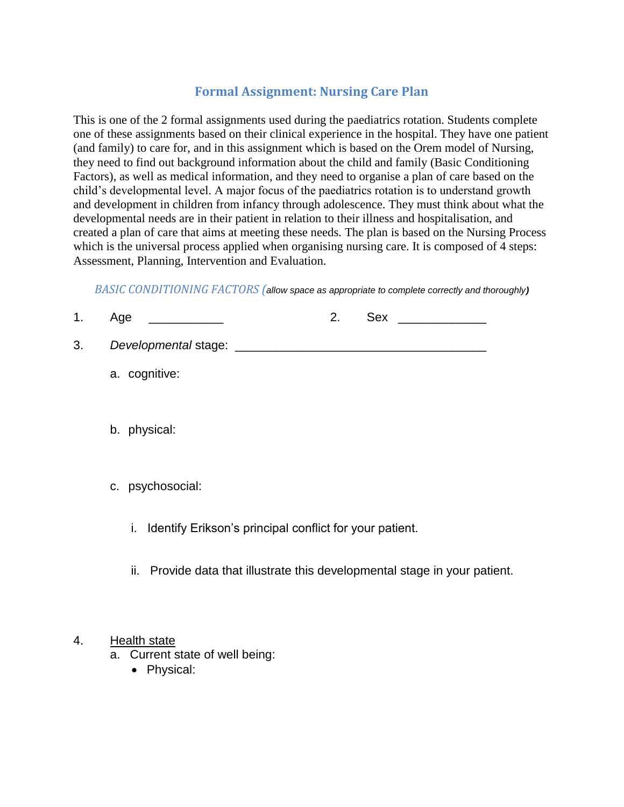# **Formal Assignment: Nursing Care Plan**

This is one of the 2 formal assignments used during the paediatrics rotation. Students complete one of these assignments based on their clinical experience in the hospital. They have one patient (and family) to care for, and in this assignment which is based on the Orem model of Nursing, they need to find out background information about the child and family (Basic Conditioning Factors), as well as medical information, and they need to organise a plan of care based on the child's developmental level. A major focus of the paediatrics rotation is to understand growth and development in children from infancy through adolescence. They must think about what the developmental needs are in their patient in relation to their illness and hospitalisation, and created a plan of care that aims at meeting these needs. The plan is based on the Nursing Process which is the universal process applied when organising nursing care. It is composed of 4 steps: Assessment, Planning, Intervention and Evaluation.

*BASIC CONDITIONING FACTORS (allow space as appropriate to complete correctly and thoroughly)*

- 1. Age \_\_\_\_\_\_\_\_\_\_\_ 2. Sex \_\_\_\_\_\_\_\_\_\_\_\_\_
- 3. *Developmental* stage: \_\_\_\_\_\_\_\_\_\_\_\_\_\_\_\_\_\_\_\_\_\_\_\_\_\_\_\_\_\_\_\_\_\_\_\_\_
	- a. cognitive:
	- b. physical:
	- c. psychosocial:
		- i. Identify Erikson's principal conflict for your patient.
		- ii. Provide data that illustrate this developmental stage in your patient.

#### 4. Health state

- a. Current state of well being:
	- Physical: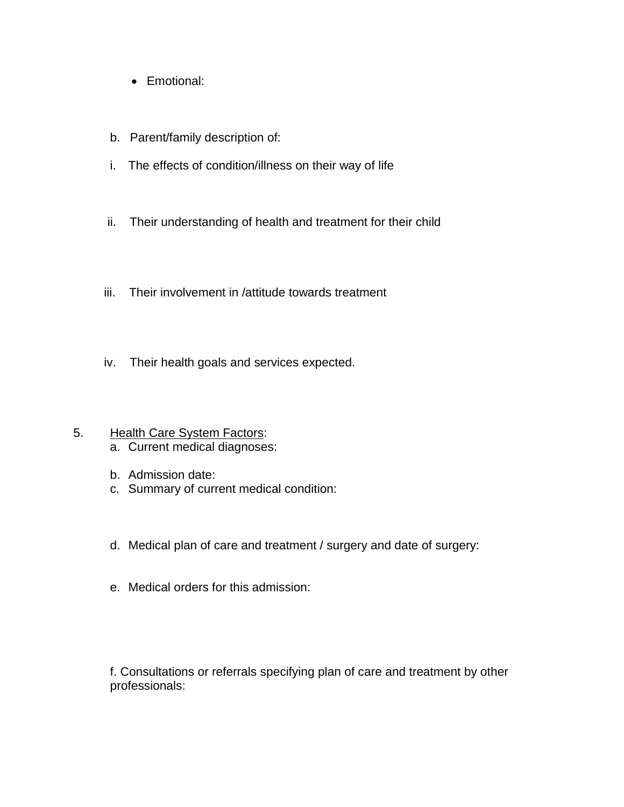- Emotional:
- b. Parent/family description of:
- i. The effects of condition/illness on their way of life
- ii. Their understanding of health and treatment for their child
- iii. Their involvement in /attitude towards treatment
- iv. Their health goals and services expected.
- 5. Health Care System Factors: a. Current medical diagnoses:
	- b. Admission date:
	- c. Summary of current medical condition:
	- d. Medical plan of care and treatment / surgery and date of surgery:
	- e. Medical orders for this admission:

f. Consultations or referrals specifying plan of care and treatment by other professionals: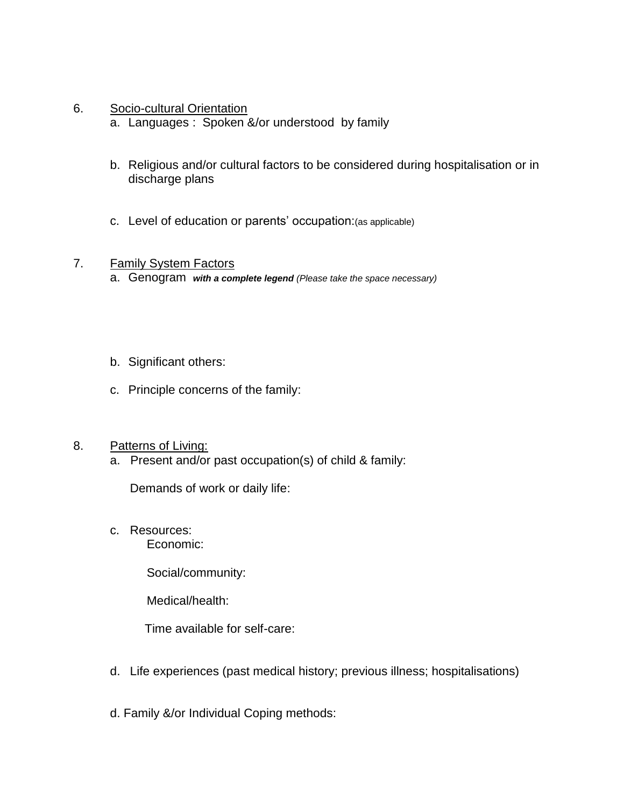- 6. Socio-cultural Orientation
	- a. Languages : Spoken &/or understood by family
	- b. Religious and/or cultural factors to be considered during hospitalisation or in discharge plans
	- c. Level of education or parents' occupation:(as applicable)

#### 7. Family System Factors

- a. Genogram *with a complete legend (Please take the space necessary)*
- b. Significant others:
- c. Principle concerns of the family:

#### 8. Patterns of Living:

a. Present and/or past occupation(s) of child & family:

Demands of work or daily life:

c. Resources:

Economic:

Social/community:

Medical/health:

Time available for self-care:

- d. Life experiences (past medical history; previous illness; hospitalisations)
- d. Family &/or Individual Coping methods: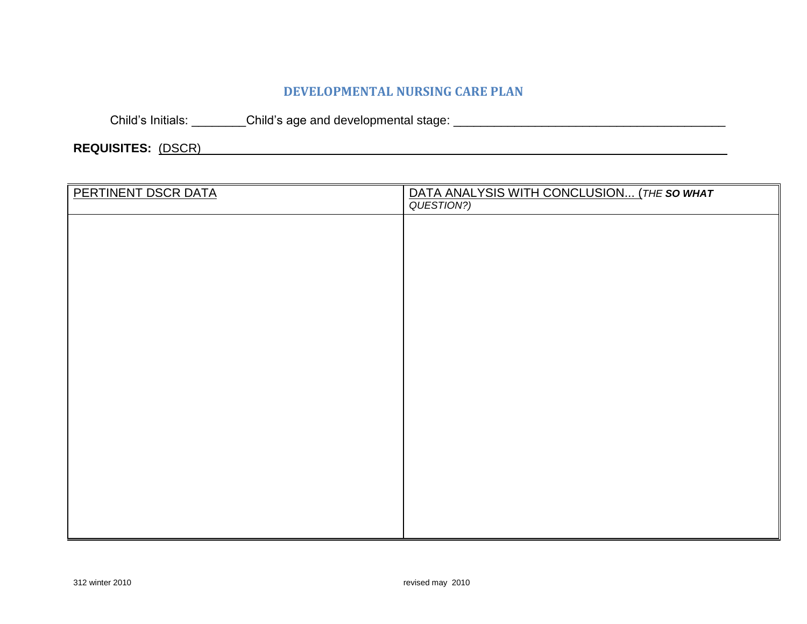## **DEVELOPMENTAL NURSING CARE PLAN**

Child's Initials: \_\_\_\_\_\_\_\_Child's age and developmental stage: \_\_\_\_\_\_\_\_\_\_\_\_\_\_\_\_\_\_\_\_\_\_\_\_\_\_\_\_\_\_\_\_\_\_\_\_\_\_\_\_

**REQUISITES:** (DSCR) \_\_\_\_\_\_\_\_\_\_\_\_\_\_\_\_\_\_\_\_\_\_\_\_\_\_

| PERTINENT DSCR DATA | DATA ANALYSIS WITH CONCLUSION (THE SO WHAT QUESTION?) |
|---------------------|-------------------------------------------------------|
|                     |                                                       |
|                     |                                                       |
|                     |                                                       |
|                     |                                                       |
|                     |                                                       |
|                     |                                                       |
|                     |                                                       |
|                     |                                                       |
|                     |                                                       |
|                     |                                                       |
|                     |                                                       |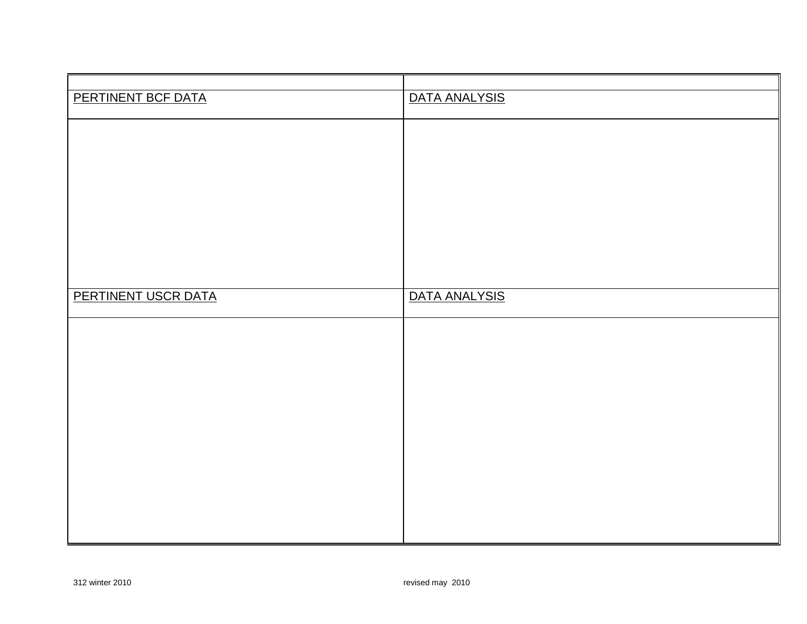| PERTINENT BCF DATA  | DATA ANALYSIS |
|---------------------|---------------|
|                     |               |
|                     |               |
|                     |               |
|                     |               |
| PERTINENT USCR DATA | DATA ANALYSIS |
|                     |               |
|                     |               |
|                     |               |
|                     |               |
|                     |               |
|                     |               |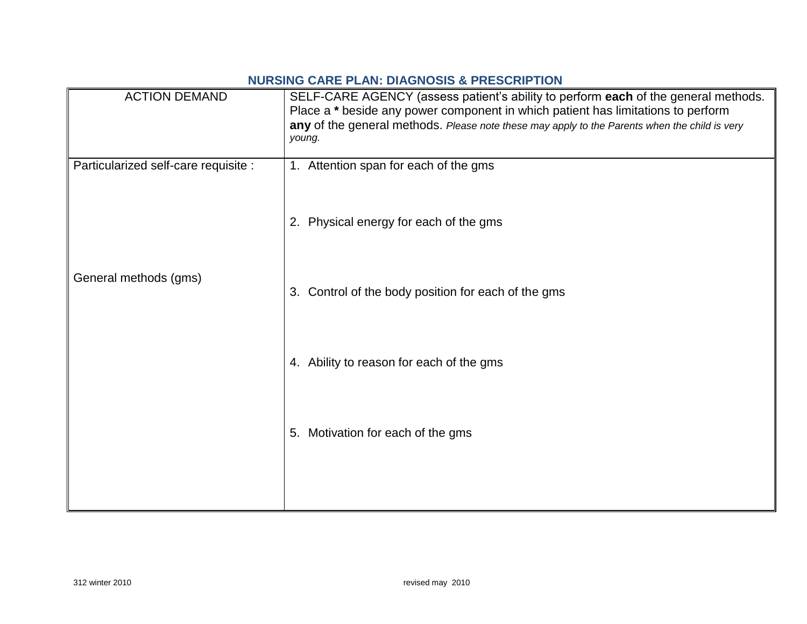### **NURSING CARE PLAN: DIAGNOSIS & PRESCRIPTION**

| <b>ACTION DEMAND</b>                 | SELF-CARE AGENCY (assess patient's ability to perform each of the general methods.<br>Place a * beside any power component in which patient has limitations to perform<br>any of the general methods. Please note these may apply to the Parents when the child is very<br>young. |
|--------------------------------------|-----------------------------------------------------------------------------------------------------------------------------------------------------------------------------------------------------------------------------------------------------------------------------------|
| Particularized self-care requisite : | 1. Attention span for each of the gms                                                                                                                                                                                                                                             |
|                                      | 2. Physical energy for each of the gms                                                                                                                                                                                                                                            |
| General methods (gms)                | 3. Control of the body position for each of the gms                                                                                                                                                                                                                               |
|                                      | 4. Ability to reason for each of the gms                                                                                                                                                                                                                                          |
|                                      | 5. Motivation for each of the gms                                                                                                                                                                                                                                                 |
|                                      |                                                                                                                                                                                                                                                                                   |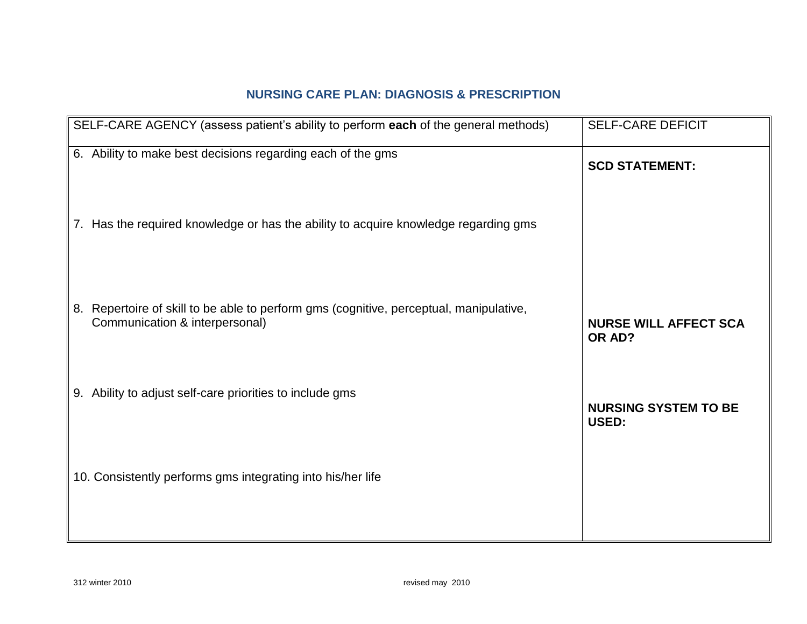# **NURSING CARE PLAN: DIAGNOSIS & PRESCRIPTION**

| SELF-CARE AGENCY (assess patient's ability to perform each of the general methods)                                       | <b>SELF-CARE DEFICIT</b>                    |
|--------------------------------------------------------------------------------------------------------------------------|---------------------------------------------|
| 6. Ability to make best decisions regarding each of the gms                                                              | <b>SCD STATEMENT:</b>                       |
| 7. Has the required knowledge or has the ability to acquire knowledge regarding gms                                      |                                             |
| 8. Repertoire of skill to be able to perform gms (cognitive, perceptual, manipulative,<br>Communication & interpersonal) | <b>NURSE WILL AFFECT SCA</b><br>OR AD?      |
| 9. Ability to adjust self-care priorities to include gms                                                                 | <b>NURSING SYSTEM TO BE</b><br><b>USED:</b> |
| 10. Consistently performs gms integrating into his/her life                                                              |                                             |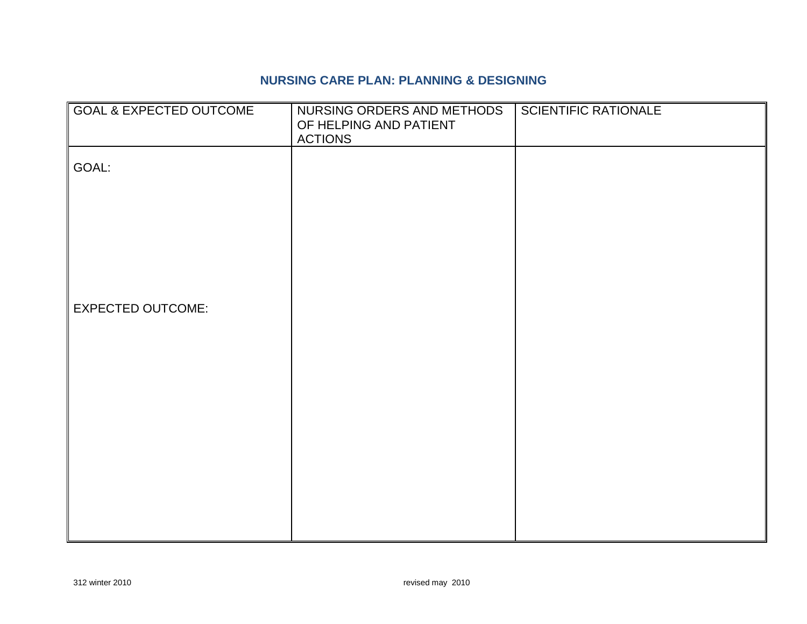### **NURSING CARE PLAN: PLANNING & DESIGNING**

| <b>GOAL &amp; EXPECTED OUTCOME</b> | NURSING ORDERS AND METHODS<br>OF HELPING AND PATIENT<br><b>ACTIONS</b> | <b>SCIENTIFIC RATIONALE</b> |
|------------------------------------|------------------------------------------------------------------------|-----------------------------|
| GOAL:                              |                                                                        |                             |
|                                    |                                                                        |                             |
|                                    |                                                                        |                             |
| <b>EXPECTED OUTCOME:</b>           |                                                                        |                             |
|                                    |                                                                        |                             |
|                                    |                                                                        |                             |
|                                    |                                                                        |                             |
|                                    |                                                                        |                             |
|                                    |                                                                        |                             |
|                                    |                                                                        |                             |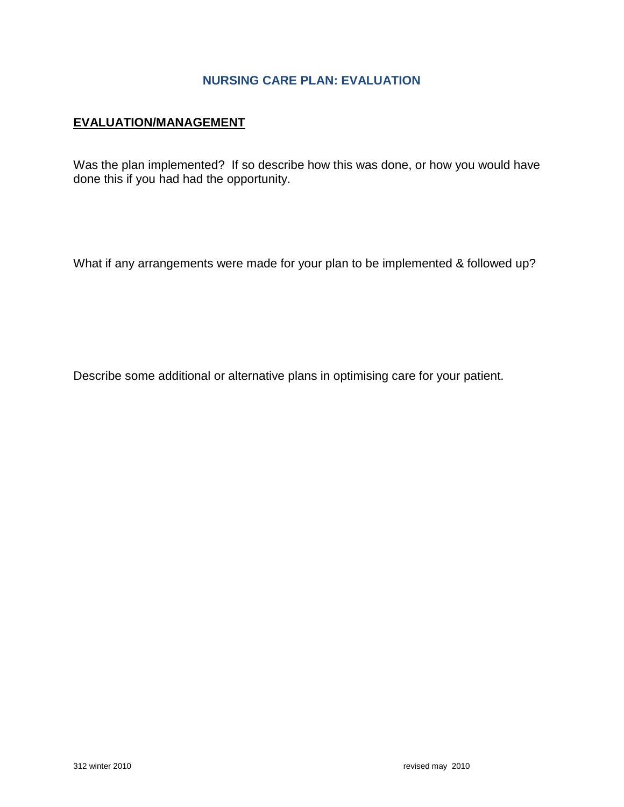### **NURSING CARE PLAN: EVALUATION**

#### **EVALUATION/MANAGEMENT**

Was the plan implemented? If so describe how this was done, or how you would have done this if you had had the opportunity.

What if any arrangements were made for your plan to be implemented & followed up?

Describe some additional or alternative plans in optimising care for your patient.